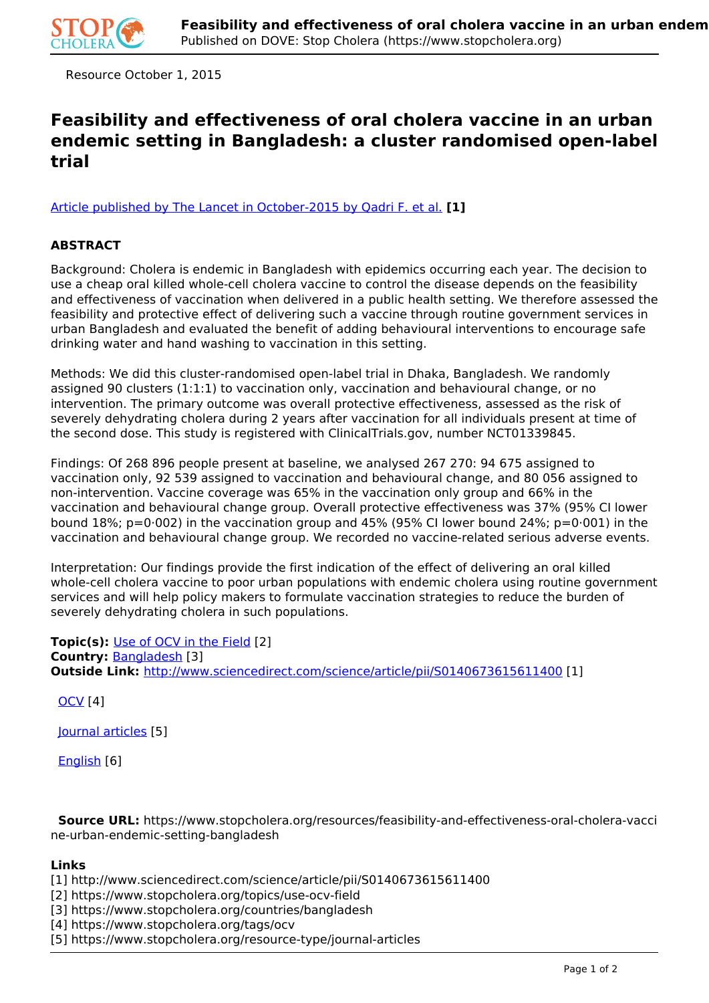

Resource October 1, 2015

## **Feasibility and effectiveness of oral cholera vaccine in an urban endemic setting in Bangladesh: a cluster randomised open-label trial**

[Article published by The Lancet in October-2015 by Qadri F. et al.](http://www.sciencedirect.com/science/article/pii/S0140673615611400) **[1]**

## **ABSTRACT**

Background: Cholera is endemic in Bangladesh with epidemics occurring each year. The decision to use a cheap oral killed whole-cell cholera vaccine to control the disease depends on the feasibility and effectiveness of vaccination when delivered in a public health setting. We therefore assessed the feasibility and protective effect of delivering such a vaccine through routine government services in urban Bangladesh and evaluated the benefit of adding behavioural interventions to encourage safe drinking water and hand washing to vaccination in this setting.

Methods: We did this cluster-randomised open-label trial in Dhaka, Bangladesh. We randomly assigned 90 clusters (1:1:1) to vaccination only, vaccination and behavioural change, or no intervention. The primary outcome was overall protective effectiveness, assessed as the risk of severely dehydrating cholera during 2 years after vaccination for all individuals present at time of the second dose. This study is registered with ClinicalTrials.gov, number NCT01339845.

Findings: Of 268 896 people present at baseline, we analysed 267 270: 94 675 assigned to vaccination only, 92 539 assigned to vaccination and behavioural change, and 80 056 assigned to non-intervention. Vaccine coverage was 65% in the vaccination only group and 66% in the vaccination and behavioural change group. Overall protective effectiveness was 37% (95% CI lower bound 18%; p=0 $0.002$ ) in the vaccination group and 45% (95% CI lower bound 24%; p=0 $0.001$ ) in the vaccination and behavioural change group. We recorded no vaccine-related serious adverse events.

Interpretation: Our findings provide the first indication of the effect of delivering an oral killed whole-cell cholera vaccine to poor urban populations with endemic cholera using routine government services and will help policy makers to formulate vaccination strategies to reduce the burden of severely dehydrating cholera in such populations.

**Topic(s):** Use of OCV in the Field [2] **Country:** Bangladesh [3] **Outside Link:** http://www.sciencedirect.com/science/article/pii/S0140673615611400 [1]

OCV [4]

Journal articles [5]

English [6]

 **Source URL:** https://www.stopcholera.org/resources/feasibility-and-effectiveness-oral-cholera-vacci ne-urban-endemic-setting-bangladesh

## **Links**

- [1] http://www.sciencedirect.com/science/article/pii/S0140673615611400
- [2] https://www.stopcholera.org/topics/use-ocv-field
- [3] https://www.stopcholera.org/countries/bangladesh
- [4] https://www.stopcholera.org/tags/ocv
- [5] https://www.stopcholera.org/resource-type/journal-articles